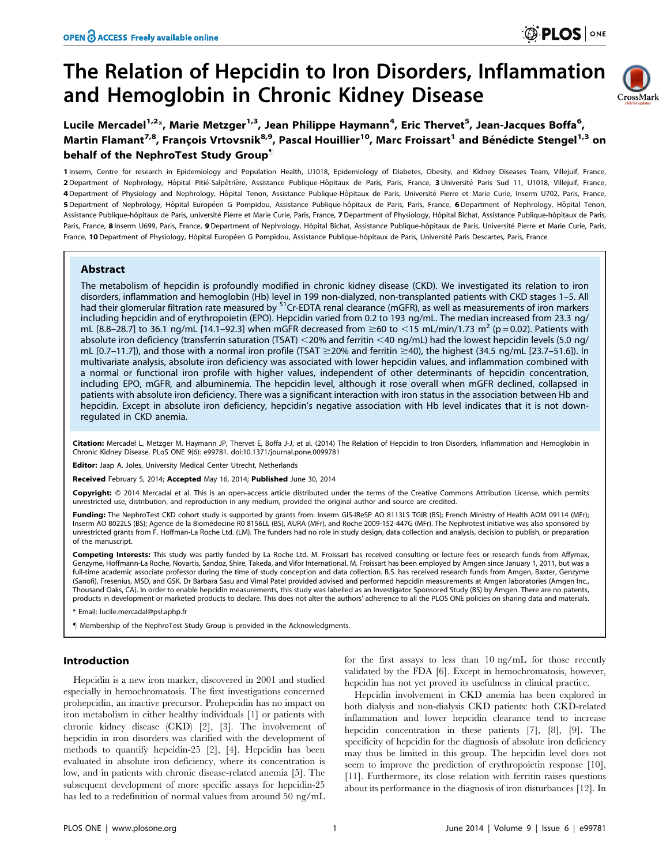# The Relation of Hepcidin to Iron Disorders, Inflammation and Hemoglobin in Chronic Kidney Disease



## Lucile Mercadel<sup>1,2</sup>\*, Marie Metzger<sup>1,3</sup>, Jean Philippe Haymann<sup>4</sup>, Eric Thervet<sup>5</sup>, Jean-Jacques Boffa<sup>6</sup>, Martin Flamant<sup>7,8</sup>, Francois Vrtovsnik<sup>8,9</sup>, Pascal Houillier<sup>10</sup>, Marc Froissart<sup>1</sup> and Bénédicte Stengel<sup>1,3</sup> on behalf of the NephroTest Study Group"

1 Inserm, Centre for research in Epidemiology and Population Health, U1018, Epidemiology of Diabetes, Obesity, and Kidney Diseases Team, Villejuif, France, 2 Department of Nephrology, Hôpital Pitié-Salpêtrière, Assistance Publique-Hôpitaux de Paris, Paris, France, 3 Université Paris Sud 11, U1018, Villejuif, France, 4 Department of Physiology and Nephrology, Hôpital Tenon, Assistance Publique-Hôpitaux de Paris, Université Pierre et Marie Curie, Inserm U702, Paris, France, 5 Department of Nephrology, Hôpital Européen G Pompidou, Assistance Publique-hôpitaux de Paris, Paris, France, 6 Department of Nephrology, Hôpital Tenon, Assistance Publique-hôpitaux de Paris, université Pierre et Marie Curie, Paris, France, 7 Department of Physiology, Hôpital Bichat, Assistance Publique-hôpitaux de Paris, Paris, France, 8 Inserm U699, Paris, France, 9 Department of Nephrology, Hôpital Bichat, Assistance Publique-hôpitaux de Paris, Université Pierre et Marie Curie, Paris, France, 10 Department of Physiology, Hôpital Européen G Pompidou, Assistance Publique-hôpitaux de Paris, Université Paris Descartes, Paris, France

## Abstract

The metabolism of hepcidin is profoundly modified in chronic kidney disease (CKD). We investigated its relation to iron disorders, inflammation and hemoglobin (Hb) level in 199 non-dialyzed, non-transplanted patients with CKD stages 1–5. All had their glomerular filtration rate measured by <sup>51</sup>Cr-EDTA renal clearance (mGFR), as well as measurements of iron markers including hepcidin and of erythropoietin (EPO). Hepcidin varied from 0.2 to 193 ng/mL. The median increased from 23.3 ng/ mL [8.8–28.7] to 36.1 ng/mL [14.1–92.3] when mGFR decreased from  $\geq$  60 to  $\lt$ 15 mL/min/1.73 m<sup>2</sup> (p = 0.02). Patients with absolute iron deficiency (transferrin saturation (TSAT) <20% and ferritin <40 ng/mL) had the lowest hepcidin levels (5.0 ng/ mL  $[0.7–11.7]$ ), and those with a normal iron profile (TSAT  $\geq$ 20% and ferritin  $\geq$ 40), the highest (34.5 ng/mL [23.7–51.6]). In multivariate analysis, absolute iron deficiency was associated with lower hepcidin values, and inflammation combined with a normal or functional iron profile with higher values, independent of other determinants of hepcidin concentration, including EPO, mGFR, and albuminemia. The hepcidin level, although it rose overall when mGFR declined, collapsed in patients with absolute iron deficiency. There was a significant interaction with iron status in the association between Hb and hepcidin. Except in absolute iron deficiency, hepcidin's negative association with Hb level indicates that it is not downregulated in CKD anemia.

Citation: Mercadel L, Metzger M, Haymann JP, Thervet E, Boffa J-J, et al. (2014) The Relation of Hepcidin to Iron Disorders, Inflammation and Hemoglobin in Chronic Kidney Disease. PLoS ONE 9(6): e99781. doi:10.1371/journal.pone.0099781

Editor: Jaap A. Joles, University Medical Center Utrecht, Netherlands

Received February 5, 2014; Accepted May 16, 2014; Published June 30, 2014

Copyright: © 2014 Mercadal et al. This is an open-access article distributed under the terms of the [Creative Commons Attribution License,](http://creativecommons.org/licenses/by/4.0/) which permits unrestricted use, distribution, and reproduction in any medium, provided the original author and source are credited.

Funding: The NephroTest CKD cohort study is supported by grants from: Inserm GIS-IReSP AO 8113LS TGIR (BS); French Ministry of Health AOM 09114 (MFr); Inserm AO 8022LS (BS); Agence de la Biomédecine R0 8156LL (BS), AURA (MFr), and Roche 2009-152-447G (MFr). The Nephrotest initiative was also sponsored by unrestricted grants from F. Hoffman-La Roche Ltd. (LM). The funders had no role in study design, data collection and analysis, decision to publish, or preparation of the manuscript.

Competing Interests: This study was partly funded by La Roche Ltd. M. Froissart has received consulting or lecture fees or research funds from Affymax, Genzyme, Hoffmann-La Roche, Novartis, Sandoz, Shire, Takeda, and Vifor International. M. Froissart has been employed by Amgen since January 1, 2011, but was a full-time academic associate professor during the time of study conception and data collection. B.S. has received research funds from Amgen, Baxter, Genzyme (Sanofi), Fresenius, MSD, and GSK. Dr Barbara Sasu and Vimal Patel provided advised and performed hepcidin measurements at Amgen laboratories (Amgen Inc., Thousand Oaks, CA). In order to enable hepcidin measurements, this study was labelled as an Investigator Sponsored Study (BS) by Amgen. There are no patents, products in development or marketed products to declare. This does not alter the authors' adherence to all the PLOS ONE policies on sharing data and materials.

\* Email: lucile.mercadal@psl.aphp.fr

" Membership of the NephroTest Study Group is provided in the Acknowledgments.

## Introduction

Hepcidin is a new iron marker, discovered in 2001 and studied especially in hemochromatosis. The first investigations concerned prohepcidin, an inactive precursor. Prohepcidin has no impact on iron metabolism in either healthy individuals [1] or patients with chronic kidney disease (CKD) [2], [3]. The involvement of hepcidin in iron disorders was clarified with the development of methods to quantify hepcidin-25 [2], [4]. Hepcidin has been evaluated in absolute iron deficiency, where its concentration is low, and in patients with chronic disease-related anemia [5]. The subsequent development of more specific assays for hepcidin-25 has led to a redefinition of normal values from around 50 ng/mL

for the first assays to less than 10 ng/mL for those recently validated by the FDA [6]. Except in hemochromatosis, however, hepcidin has not yet proved its usefulness in clinical practice.

Hepcidin involvement in CKD anemia has been explored in both dialysis and non-dialysis CKD patients: both CKD-related inflammation and lower hepcidin clearance tend to increase hepcidin concentration in these patients [7], [8], [9]. The specificity of hepcidin for the diagnosis of absolute iron deficiency may thus be limited in this group. The hepcidin level does not seem to improve the prediction of erythropoietin response [10], [11]. Furthermore, its close relation with ferritin raises questions about its performance in the diagnosis of iron disturbances [12]. In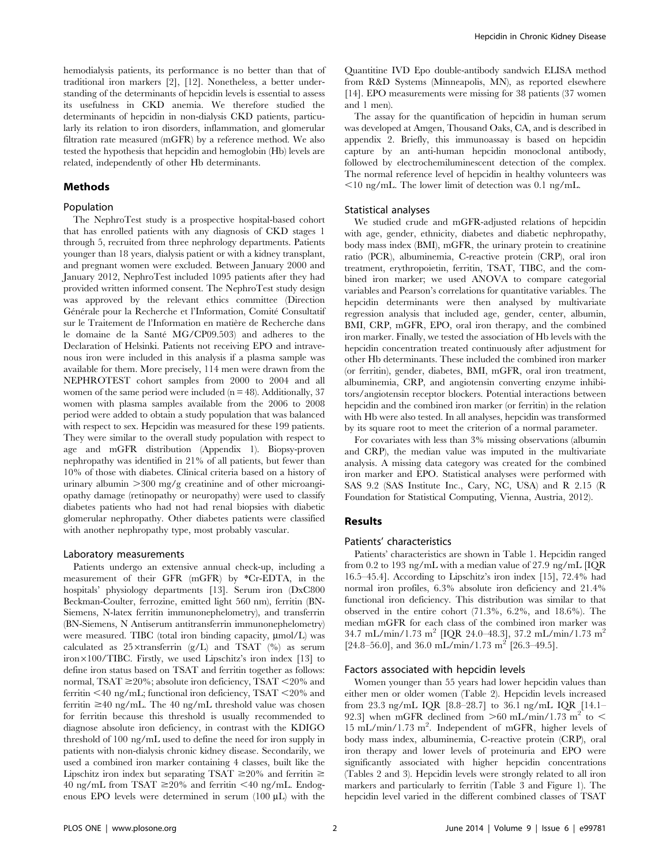hemodialysis patients, its performance is no better than that of traditional iron markers [2], [12]. Nonetheless, a better understanding of the determinants of hepcidin levels is essential to assess its usefulness in CKD anemia. We therefore studied the determinants of hepcidin in non-dialysis CKD patients, particularly its relation to iron disorders, inflammation, and glomerular filtration rate measured (mGFR) by a reference method. We also tested the hypothesis that hepcidin and hemoglobin (Hb) levels are related, independently of other Hb determinants.

## Methods

## Population

The NephroTest study is a prospective hospital-based cohort that has enrolled patients with any diagnosis of CKD stages 1 through 5, recruited from three nephrology departments. Patients younger than 18 years, dialysis patient or with a kidney transplant, and pregnant women were excluded. Between January 2000 and January 2012, NephroTest included 1095 patients after they had provided written informed consent. The NephroTest study design was approved by the relevant ethics committee (Direction Générale pour la Recherche et l'Information, Comité Consultatif sur le Traitement de l'Information en matière de Recherche dans le domaine de la Sante´ MG/CP09.503) and adheres to the Declaration of Helsinki. Patients not receiving EPO and intravenous iron were included in this analysis if a plasma sample was available for them. More precisely, 114 men were drawn from the NEPHROTEST cohort samples from 2000 to 2004 and all women of the same period were included  $(n = 48)$ . Additionally, 37 women with plasma samples available from the 2006 to 2008 period were added to obtain a study population that was balanced with respect to sex. Hepcidin was measured for these 199 patients. They were similar to the overall study population with respect to age and mGFR distribution (Appendix 1). Biopsy-proven nephropathy was identified in 21% of all patients, but fewer than 10% of those with diabetes. Clinical criteria based on a history of urinary albumin  $>300$  mg/g creatinine and of other microangiopathy damage (retinopathy or neuropathy) were used to classify diabetes patients who had not had renal biopsies with diabetic glomerular nephropathy. Other diabetes patients were classified with another nephropathy type, most probably vascular.

#### Laboratory measurements

Patients undergo an extensive annual check-up, including a measurement of their GFR (mGFR) by \*Cr-EDTA, in the hospitals' physiology departments [13]. Serum iron (DxC800 Beckman-Coulter, ferrozine, emitted light 560 nm), ferritin (BN-Siemens, N-latex ferritin immunonephelometry), and transferrin (BN-Siemens, N Antiserum antitransferrin immunonephelometry) were measured. TIBC (total iron binding capacity,  $\mu$ mol/L) was calculated as  $25 \times \text{transfer}$  (g/L) and TSAT (%) as serum  $i$ ron $\times$ 100/TIBC. Firstly, we used Lipschitz's iron index [13] to define iron status based on TSAT and ferritin together as follows: normal, TSAT  $\geq$ 20%; absolute iron deficiency, TSAT <20% and ferritin  $\leq 40$  ng/mL; functional iron deficiency, TSAT  $\leq 20\%$  and ferritin  $\geq 40$  ng/mL. The 40 ng/mL threshold value was chosen for ferritin because this threshold is usually recommended to diagnose absolute iron deficiency, in contrast with the KDIGO threshold of 100 ng/mL used to define the need for iron supply in patients with non-dialysis chronic kidney disease. Secondarily, we used a combined iron marker containing 4 classes, built like the Lipschitz iron index but separating TSAT  $\geq$ 20% and ferritin  $\geq$ 40 ng/mL from TSAT  $\geq$ 20% and ferritin <40 ng/mL. Endogenous EPO levels were determined in serum  $(100 \mu L)$  with the

Quantitine IVD Epo double-antibody sandwich ELISA method from R&D Systems (Minneapolis, MN), as reported elsewhere [14]. EPO measurements were missing for 38 patients (37 women and 1 men).

The assay for the quantification of hepcidin in human serum was developed at Amgen, Thousand Oaks, CA, and is described in appendix 2. Briefly, this immunoassay is based on hepcidin capture by an anti-human hepcidin monoclonal antibody, followed by electrochemiluminescent detection of the complex. The normal reference level of hepcidin in healthy volunteers was  $\leq$ 10 ng/mL. The lower limit of detection was 0.1 ng/mL.

## Statistical analyses

We studied crude and mGFR-adjusted relations of hepcidin with age, gender, ethnicity, diabetes and diabetic nephropathy, body mass index (BMI), mGFR, the urinary protein to creatinine ratio (PCR), albuminemia, C-reactive protein (CRP), oral iron treatment, erythropoietin, ferritin, TSAT, TIBC, and the combined iron marker; we used ANOVA to compare categorial variables and Pearson's correlations for quantitative variables. The hepcidin determinants were then analysed by multivariate regression analysis that included age, gender, center, albumin, BMI, CRP, mGFR, EPO, oral iron therapy, and the combined iron marker. Finally, we tested the association of Hb levels with the hepcidin concentration treated continuously after adjustment for other Hb determinants. These included the combined iron marker (or ferritin), gender, diabetes, BMI, mGFR, oral iron treatment, albuminemia, CRP, and angiotensin converting enzyme inhibitors/angiotensin receptor blockers. Potential interactions between hepcidin and the combined iron marker (or ferritin) in the relation with Hb were also tested. In all analyses, hepcidin was transformed by its square root to meet the criterion of a normal parameter.

For covariates with less than 3% missing observations (albumin and CRP), the median value was imputed in the multivariate analysis. A missing data category was created for the combined iron marker and EPO. Statistical analyses were performed with SAS 9.2 (SAS Institute Inc., Cary, NC, USA) and R 2.15 (R Foundation for Statistical Computing, Vienna, Austria, 2012).

## Results

## Patients' characteristics

Patients' characteristics are shown in Table 1. Hepcidin ranged from 0.2 to 193 ng/mL with a median value of 27.9 ng/mL [IQR 16.5–45.4]. According to Lipschitz's iron index [15], 72.4% had normal iron profiles, 6.3% absolute iron deficiency and 21.4% functional iron deficiency. This distribution was similar to that observed in the entire cohort (71.3%, 6.2%, and 18.6%). The median mGFR for each class of the combined iron marker was  $34.7 \text{ mL/min}/1.73 \text{ m}^2$  [IOR 24.0–48.3], 37.2 mL/min/1.73 m<sup>2</sup> [24.8–56.0], and 36.0 mL/min/1.73 m<sup>2</sup> [26.3–49.5].

#### Factors associated with hepcidin levels

Women younger than 55 years had lower hepcidin values than either men or older women (Table 2). Hepcidin levels increased from 23.3 ng/mL IQR [8.8–28.7] to 36.1 ng/mL IQR [14.1– 92.3] when mGFR declined from  $>60$  mL/min/1.73 m<sup>2</sup> to < 15 mL/min/1.73 m<sup>2</sup> . Independent of mGFR, higher levels of body mass index, albuminemia, C-reactive protein (CRP), oral iron therapy and lower levels of proteinuria and EPO were significantly associated with higher hepcidin concentrations (Tables 2 and 3). Hepcidin levels were strongly related to all iron markers and particularly to ferritin (Table 3 and Figure 1). The hepcidin level varied in the different combined classes of TSAT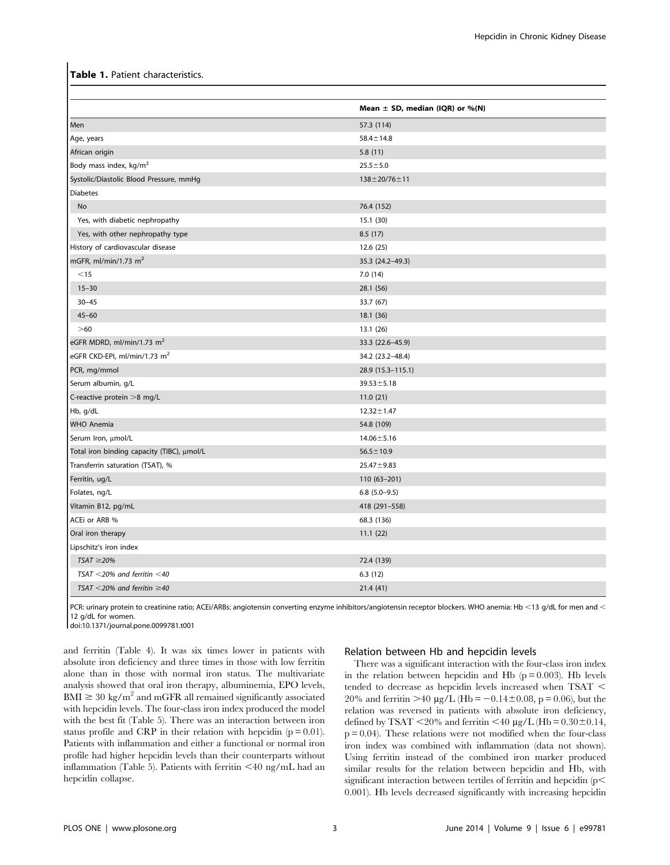## Table 1. Patient characteristics.

|                                            | Mean $\pm$ SD, median (IQR) or %(N) |
|--------------------------------------------|-------------------------------------|
| Men                                        | 57.3 (114)                          |
| Age, years                                 | $58.4 \pm 14.8$                     |
| African origin                             | 5.8(11)                             |
| Body mass index, kg/m <sup>2</sup>         | $25.5 \pm 5.0$                      |
| Systolic/Diastolic Blood Pressure, mmHg    | $138 \pm 20/76 \pm 11$              |
| <b>Diabetes</b>                            |                                     |
| No                                         | 76.4 (152)                          |
| Yes, with diabetic nephropathy             | 15.1(30)                            |
| Yes, with other nephropathy type           | 8.5(17)                             |
| History of cardiovascular disease          | 12.6(25)                            |
| mGFR, ml/min/1.73 $m2$                     | 35.3 (24.2-49.3)                    |
| $<$ 15                                     | 7.0(14)                             |
| $15 - 30$                                  | 28.1 (56)                           |
| $30 - 45$                                  | 33.7 (67)                           |
| $45 - 60$                                  | 18.1 (36)                           |
| $>60$                                      | 13.1 (26)                           |
| eGFR MDRD, ml/min/1.73 m <sup>2</sup>      | 33.3 (22.6-45.9)                    |
| eGFR CKD-EPI, ml/min/1.73 m <sup>2</sup>   | 34.2 (23.2-48.4)                    |
| PCR, mg/mmol                               | 28.9 (15.3-115.1)                   |
| Serum albumin, g/L                         | $39.53 \pm 5.18$                    |
| C-reactive protein >8 mg/L                 | 11.0(21)                            |
| Hb, g/dL                                   | $12.32 \pm 1.47$                    |
| <b>WHO Anemia</b>                          | 54.8 (109)                          |
| Serum Iron, µmol/L                         | $14.06 \pm 5.16$                    |
| Total iron binding capacity (TIBC), µmol/L | $56.5 \pm 10.9$                     |
| Transferrin saturation (TSAT), %           | $25.47 \pm 9.83$                    |
| Ferritin, ug/L                             | $110(63 - 201)$                     |
| Folates, ng/L                              | $6.8$ $(5.0-9.5)$                   |
| Vitamin B12, pg/mL                         | 418 (291-558)                       |
| ACEi or ARB %                              | 68.3 (136)                          |
| Oral iron therapy                          | 11.1(22)                            |
| Lipschitz's iron index                     |                                     |
| $TSAT \geq 20\%$                           | 72.4 (139)                          |
| TSAT $<$ 20% and ferritin $<$ 40           | 6.3(12)                             |
| TSAT <20% and ferritin $\geq$ 40           | 21.4(41)                            |

PCR: urinary protein to creatinine ratio; ACEi/ARBs: angiotensin converting enzyme inhibitors/angiotensin receptor blockers. WHO anemia: Hb <13 g/dL for men and < 12 g/dL for women.

doi:10.1371/journal.pone.0099781.t001

and ferritin (Table 4). It was six times lower in patients with absolute iron deficiency and three times in those with low ferritin alone than in those with normal iron status. The multivariate analysis showed that oral iron therapy, albuminemia, EPO levels,  $BMI \geq 30 \text{ kg/m}^2$  and mGFR all remained significantly associated with hepcidin levels. The four-class iron index produced the model with the best fit (Table 5). There was an interaction between iron status profile and CRP in their relation with hepcidin  $(p = 0.01)$ . Patients with inflammation and either a functional or normal iron profile had higher hepcidin levels than their counterparts without inflammation (Table 5). Patients with ferritin  $\leq 40$  ng/mL had an hepcidin collapse.

## Relation between Hb and hepcidin levels

There was a significant interaction with the four-class iron index in the relation between hepcidin and Hb  $(p = 0.003)$ . Hb levels tended to decrease as hepcidin levels increased when TSAT  $<$ 20% and ferritin  $>40 \mu g/L$  (Hb = -0.14±0.08, p = 0.06), but the relation was reversed in patients with absolute iron deficiency, defined by TSAT <20% and ferritin <40  $\mu$ g/L (Hb = 0.30±0.14,  $p = 0.04$ ). These relations were not modified when the four-class iron index was combined with inflammation (data not shown). Using ferritin instead of the combined iron marker produced similar results for the relation between hepcidin and Hb, with significant interaction between tertiles of ferritin and hepcidin  $(p<$ 0.001). Hb levels decreased significantly with increasing hepcidin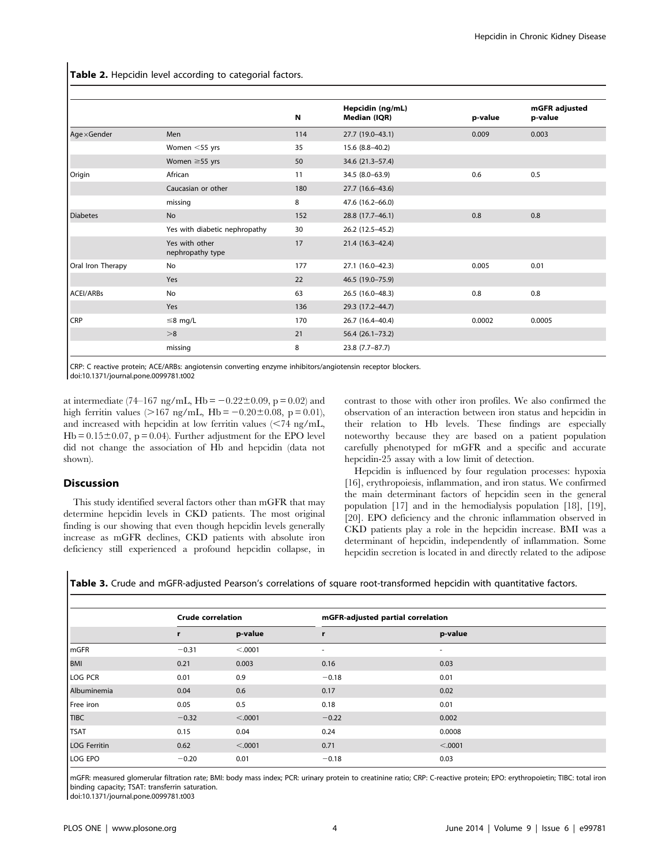Table 2. Hepcidin level according to categorial factors.

|                   |                                    |     | Hepcidin (ng/mL)    |         | mGFR adjusted |
|-------------------|------------------------------------|-----|---------------------|---------|---------------|
|                   |                                    | N   | Median (IQR)        | p-value | p-value       |
| Age×Gender        | Men                                | 114 | 27.7 (19.0-43.1)    | 0.009   | 0.003         |
|                   | Women $<$ 55 yrs                   | 35  | 15.6 (8.8-40.2)     |         |               |
|                   | Women $\geq$ 55 yrs                | 50  | 34.6 (21.3–57.4)    |         |               |
| Origin            | African                            | 11  | 34.5 (8.0-63.9)     | 0.6     | 0.5           |
|                   | Caucasian or other                 | 180 | 27.7 (16.6-43.6)    |         |               |
|                   | missing                            | 8   | 47.6 (16.2-66.0)    |         |               |
| <b>Diabetes</b>   | <b>No</b>                          | 152 | 28.8 (17.7-46.1)    | 0.8     | 0.8           |
|                   | Yes with diabetic nephropathy      | 30  | 26.2 (12.5-45.2)    |         |               |
|                   | Yes with other<br>nephropathy type | 17  | 21.4 (16.3-42.4)    |         |               |
| Oral Iron Therapy | <b>No</b>                          | 177 | 27.1 (16.0-42.3)    | 0.005   | 0.01          |
|                   | Yes                                | 22  | 46.5 (19.0-75.9)    |         |               |
| ACEI/ARBs         | <b>No</b>                          | 63  | 26.5 (16.0-48.3)    | 0.8     | 0.8           |
|                   | Yes                                | 136 | 29.3 (17.2-44.7)    |         |               |
| CRP               | $\leq$ 8 mg/L                      | 170 | 26.7 (16.4-40.4)    | 0.0002  | 0.0005        |
|                   | >8                                 | 21  | $56.4(26.1 - 73.2)$ |         |               |
|                   | missing                            | 8   | $23.8$ (7.7-87.7)   |         |               |

CRP: C reactive protein; ACE/ARBs: angiotensin converting enzyme inhibitors/angiotensin receptor blockers.

doi:10.1371/journal.pone.0099781.t002

at intermediate (74–167 ng/mL, Hb =  $-0.22\pm0.09$ , p = 0.02) and high ferritin values (>167 ng/mL, Hb =  $-0.20 \pm 0.08$ , p = 0.01), and increased with hepcidin at low ferritin values  $\langle$  <74 ng/mL,  $Hb = 0.15 \pm 0.07$ , p = 0.04). Further adjustment for the EPO level did not change the association of Hb and hepcidin (data not shown).

## Discussion

This study identified several factors other than mGFR that may determine hepcidin levels in CKD patients. The most original finding is our showing that even though hepcidin levels generally increase as mGFR declines, CKD patients with absolute iron deficiency still experienced a profound hepcidin collapse, in contrast to those with other iron profiles. We also confirmed the observation of an interaction between iron status and hepcidin in their relation to Hb levels. These findings are especially noteworthy because they are based on a patient population carefully phenotyped for mGFR and a specific and accurate hepcidin-25 assay with a low limit of detection.

Hepcidin is influenced by four regulation processes: hypoxia [16], erythropoiesis, inflammation, and iron status. We confirmed the main determinant factors of hepcidin seen in the general population [17] and in the hemodialysis population [18], [19], [20]. EPO deficiency and the chronic inflammation observed in CKD patients play a role in the hepcidin increase. BMI was a determinant of hepcidin, independently of inflammation. Some hepcidin secretion is located in and directly related to the adipose

Table 3. Crude and mGFR-adjusted Pearson's correlations of square root-transformed hepcidin with quantitative factors.

|                     | <b>Crude correlation</b> |         | mGFR-adjusted partial correlation |         |
|---------------------|--------------------------|---------|-----------------------------------|---------|
|                     |                          | p-value |                                   | p-value |
| <b>I</b> mGFR       | $-0.31$                  | < .0001 | ٠                                 | ۰       |
| BMI                 | 0.21                     | 0.003   | 0.16                              | 0.03    |
| <b>LOG PCR</b>      | 0.01                     | 0.9     | $-0.18$                           | 0.01    |
| Albuminemia         | 0.04                     | 0.6     | 0.17                              | 0.02    |
| Free iron           | 0.05                     | 0.5     | 0.18                              | 0.01    |
| <b>TIBC</b>         | $-0.32$                  | < .0001 | $-0.22$                           | 0.002   |
| <b>TSAT</b>         | 0.15                     | 0.04    | 0.24                              | 0.0008  |
| <b>LOG Ferritin</b> | 0.62                     | < .0001 | 0.71                              | < .0001 |
| LOG EPO             | $-0.20$                  | 0.01    | $-0.18$                           | 0.03    |

mGFR: measured glomerular filtration rate; BMI: body mass index; PCR: urinary protein to creatinine ratio; CRP: C-reactive protein; EPO: erythropoietin; TIBC: total iron binding capacity; TSAT: transferrin saturation.

doi:10.1371/journal.pone.0099781.t003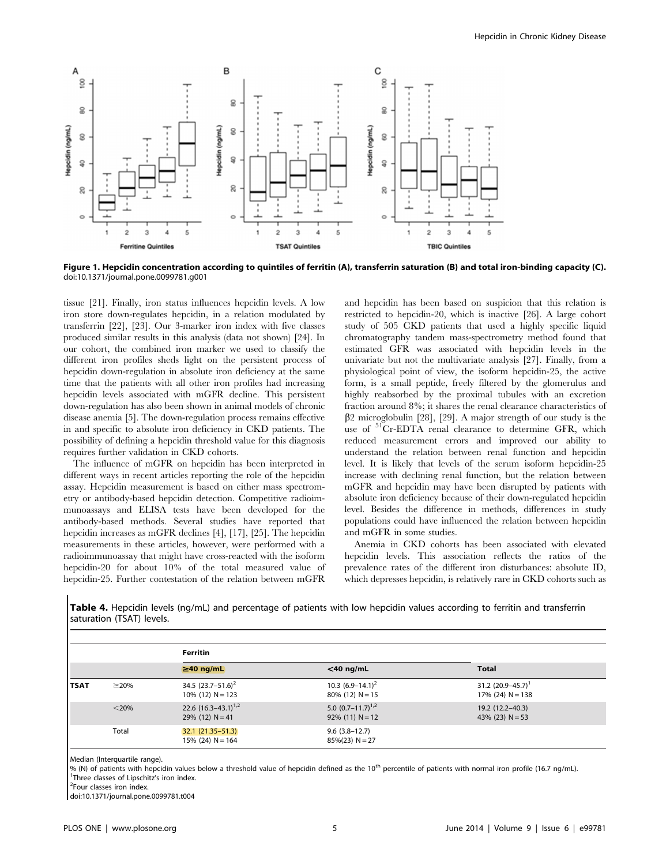

Figure 1. Hepcidin concentration according to quintiles of ferritin (A), transferrin saturation (B) and total iron-binding capacity (C). doi:10.1371/journal.pone.0099781.g001

tissue [21]. Finally, iron status influences hepcidin levels. A low iron store down-regulates hepcidin, in a relation modulated by transferrin [22], [23]. Our 3-marker iron index with five classes produced similar results in this analysis (data not shown) [24]. In our cohort, the combined iron marker we used to classify the different iron profiles sheds light on the persistent process of hepcidin down-regulation in absolute iron deficiency at the same time that the patients with all other iron profiles had increasing hepcidin levels associated with mGFR decline. This persistent down-regulation has also been shown in animal models of chronic disease anemia [5]. The down-regulation process remains effective in and specific to absolute iron deficiency in CKD patients. The possibility of defining a hepcidin threshold value for this diagnosis requires further validation in CKD cohorts.

The influence of mGFR on hepcidin has been interpreted in different ways in recent articles reporting the role of the hepcidin assay. Hepcidin measurement is based on either mass spectrometry or antibody-based hepcidin detection. Competitive radioimmunoassays and ELISA tests have been developed for the antibody-based methods. Several studies have reported that hepcidin increases as mGFR declines [4], [17], [25]. The hepcidin measurements in these articles, however, were performed with a radioimmunoassay that might have cross-reacted with the isoform hepcidin-20 for about 10% of the total measured value of hepcidin-25. Further contestation of the relation between mGFR and hepcidin has been based on suspicion that this relation is restricted to hepcidin-20, which is inactive [26]. A large cohort study of 505 CKD patients that used a highly specific liquid chromatography tandem mass-spectrometry method found that estimated GFR was associated with hepcidin levels in the univariate but not the multivariate analysis [27]. Finally, from a physiological point of view, the isoform hepcidin-25, the active form, is a small peptide, freely filtered by the glomerulus and highly reabsorbed by the proximal tubules with an excretion fraction around 8%; it shares the renal clearance characteristics of  $\beta$ 2 microglobulin [28], [29]. A major strength of our study is the use of <sup>51</sup>Cr-EDTA renal clearance to determine GFR, which reduced measurement errors and improved our ability to understand the relation between renal function and hepcidin level. It is likely that levels of the serum isoform hepcidin-25 increase with declining renal function, but the relation between mGFR and hepcidin may have been disrupted by patients with absolute iron deficiency because of their down-regulated hepcidin level. Besides the difference in methods, differences in study populations could have influenced the relation between hepcidin and mGFR in some studies.

Anemia in CKD cohorts has been associated with elevated hepcidin levels. This association reflects the ratios of the prevalence rates of the different iron disturbances: absolute ID, which depresses hepcidin, is relatively rare in CKD cohorts such as

Table 4. Hepcidin levels (ng/mL) and percentage of patients with low hepcidin values according to ferritin and transferrin saturation (TSAT) levels.

|             |            | <b>Ferritin</b>                                 |                                              |                                               |  |
|-------------|------------|-------------------------------------------------|----------------------------------------------|-----------------------------------------------|--|
|             |            | $\geq$ 40 ng/mL                                 | $<$ 40 ng/mL                                 | <b>Total</b>                                  |  |
| <b>TSAT</b> | $\geq$ 20% | 34.5 $(23.7-51.6)^2$<br>$10\%$ (12) N = 123     | 10.3 $(6.9-14.1)^2$<br>$80\%$ (12) N = 15    | 31.2 $(20.9 - 45.7)^T$<br>$17\%$ (24) N = 138 |  |
|             | $<$ 20%    | 22.6 $(16.3 - 43.1)^{1/2}$<br>29% (12) $N = 41$ | 5.0 $(0.7-11.7)^{1,2}$<br>$92\%$ (11) N = 12 | 19.2 (12.2–40.3)<br>43% (23) $N = 53$         |  |
|             | Total      | $32.1(21.35 - 51.3)$<br>$15\%$ (24) N = 164     | $9.6(3.8-12.7)$<br>$85\%(23) N = 27$         |                                               |  |

Median (Interquartile range).

% (N) of patients with hepcidin values below a threshold value of hepcidin defined as the 10<sup>th</sup> percentile of patients with normal iron profile (16.7 ng/mL). <sup>1</sup>Three classes of Lipschitz's iron index.

<sup>2</sup>Four classes iron index.

doi:10.1371/journal.pone.0099781.t004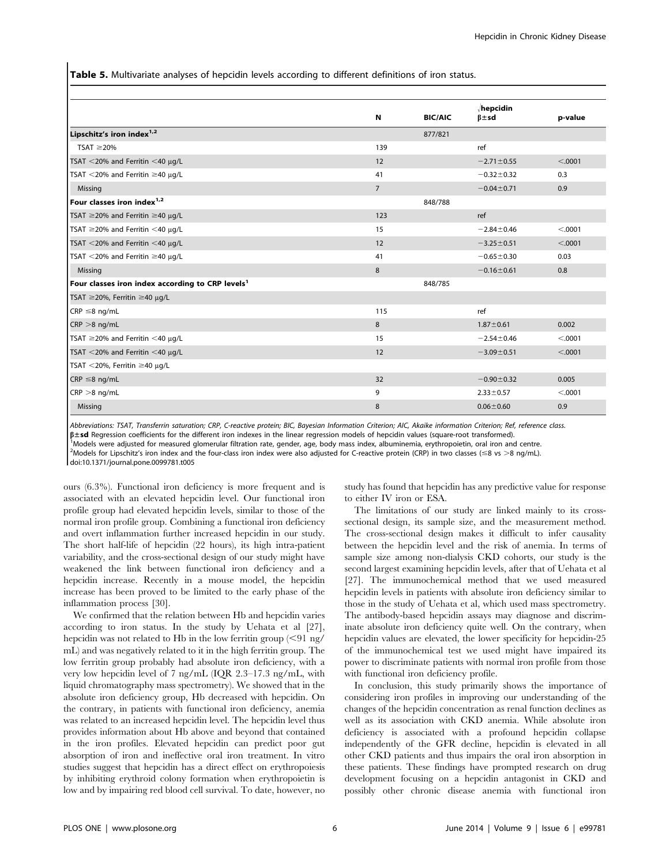Table 5. Multivariate analyses of hepcidin levels according to different definitions of iron status.

|                                                              | N              | <b>BIC/AIC</b> | hepcidin<br>$\beta \pm sd$ | p-value  |
|--------------------------------------------------------------|----------------|----------------|----------------------------|----------|
| Lipschitz's iron index <sup>1,2</sup>                        |                | 877/821        |                            |          |
| TSAT $\geq$ 20%                                              | 139            |                | ref                        |          |
| TSAT $<$ 20% and Ferritin $<$ 40 $\mu$ g/L                   | 12             |                | $-2.71 \pm 0.55$           | < .0001  |
| TSAT <20% and Ferritin $\geq$ 40 $\mu$ g/L                   | 41             |                | $-0.32 \pm 0.32$           | 0.3      |
| Missing                                                      | $\overline{7}$ |                | $-0.04 \pm 0.71$           | 0.9      |
| Four classes iron index <sup>1,2</sup>                       |                | 848/788        |                            |          |
| TSAT $\geq$ 20% and Ferritin $\geq$ 40 µg/L                  | 123            |                | ref                        |          |
| TSAT $\geq$ 20% and Ferritin <40 µg/L                        | 15             |                | $-2.84 \pm 0.46$           | < .0001  |
| TSAT $<$ 20% and Ferritin $<$ 40 $\mu$ g/L                   | 12             |                | $-3.25 \pm 0.51$           | < .0001  |
| TSAT <20% and Ferritin $\geq$ 40 µg/L                        | 41             |                | $-0.65 \pm 0.30$           | 0.03     |
| Missing                                                      | 8              |                | $-0.16 \pm 0.61$           | 0.8      |
| Four classes iron index according to CRP levels <sup>1</sup> |                | 848/785        |                            |          |
| TSAT ≥20%, Ferritin ≥40 µg/L                                 |                |                |                            |          |
| $CRP \leq 8$ ng/mL                                           | 115            |                | ref                        |          |
| $CRP > 8$ ng/mL                                              | 8              |                | $1.87 \pm 0.61$            | 0.002    |
| TSAT $\geq$ 20% and Ferritin <40 µg/L                        | 15             |                | $-2.54 \pm 0.46$           | < 0.0001 |
| TSAT $<$ 20% and Ferritin $<$ 40 $\mu$ g/L                   | 12             |                | $-3.09 \pm 0.51$           | < .0001  |
| TSAT <20%, Ferritin ≥40 µq/L                                 |                |                |                            |          |
| $CRP \leq 8$ ng/mL                                           | 32             |                | $-0.90 \pm 0.32$           | 0.005    |
| $CRP > 8$ ng/mL                                              | 9              |                | $2.33 \pm 0.57$            | < .0001  |
| Missing                                                      | 8              |                | $0.06 \pm 0.60$            | 0.9      |

Abbreviations: TSAT, Transferrin saturation; CRP, C-reactive protein; BIC, Bayesian Information Criterion; AIC, Akaike information Criterion; Ref, reference class.

 $\beta$ ±sd Regression coefficients for the different iron indexes in the linear regression models of hepcidin values (square-root transformed).

Models were adjusted for measured glomerular filtration rate, gender, age, body mass index, albuminemia, erythropoietin, oral iron and centre.

<sup>2</sup>Models for Lipschitz's iron index and the four-class iron index were also adjusted for C-reactive protein (CRP) in two classes (≤8 vs >8 ng/mL).

doi:10.1371/journal.pone.0099781.t005

ours (6.3%). Functional iron deficiency is more frequent and is associated with an elevated hepcidin level. Our functional iron profile group had elevated hepcidin levels, similar to those of the normal iron profile group. Combining a functional iron deficiency and overt inflammation further increased hepcidin in our study. The short half-life of hepcidin (22 hours), its high intra-patient variability, and the cross-sectional design of our study might have weakened the link between functional iron deficiency and a hepcidin increase. Recently in a mouse model, the hepcidin increase has been proved to be limited to the early phase of the inflammation process [30].

We confirmed that the relation between Hb and hepcidin varies according to iron status. In the study by Uehata et al [27], hepcidin was not related to Hb in the low ferritin group  $\left( \langle 91 \rangle \text{ng} / \right)$ mL) and was negatively related to it in the high ferritin group. The low ferritin group probably had absolute iron deficiency, with a very low hepcidin level of 7 ng/mL (IQR 2.3–17.3 ng/mL, with liquid chromatography mass spectrometry). We showed that in the absolute iron deficiency group, Hb decreased with hepcidin. On the contrary, in patients with functional iron deficiency, anemia was related to an increased hepcidin level. The hepcidin level thus provides information about Hb above and beyond that contained in the iron profiles. Elevated hepcidin can predict poor gut absorption of iron and ineffective oral iron treatment. In vitro studies suggest that hepcidin has a direct effect on erythropoiesis by inhibiting erythroid colony formation when erythropoietin is low and by impairing red blood cell survival. To date, however, no study has found that hepcidin has any predictive value for response to either IV iron or ESA.

The limitations of our study are linked mainly to its crosssectional design, its sample size, and the measurement method. The cross-sectional design makes it difficult to infer causality between the hepcidin level and the risk of anemia. In terms of sample size among non-dialysis CKD cohorts, our study is the second largest examining hepcidin levels, after that of Uehata et al [27]. The immunochemical method that we used measured hepcidin levels in patients with absolute iron deficiency similar to those in the study of Uehata et al, which used mass spectrometry. The antibody-based hepcidin assays may diagnose and discriminate absolute iron deficiency quite well. On the contrary, when hepcidin values are elevated, the lower specificity for hepcidin-25 of the immunochemical test we used might have impaired its power to discriminate patients with normal iron profile from those with functional iron deficiency profile.

In conclusion, this study primarily shows the importance of considering iron profiles in improving our understanding of the changes of the hepcidin concentration as renal function declines as well as its association with CKD anemia. While absolute iron deficiency is associated with a profound hepcidin collapse independently of the GFR decline, hepcidin is elevated in all other CKD patients and thus impairs the oral iron absorption in these patients. These findings have prompted research on drug development focusing on a hepcidin antagonist in CKD and possibly other chronic disease anemia with functional iron